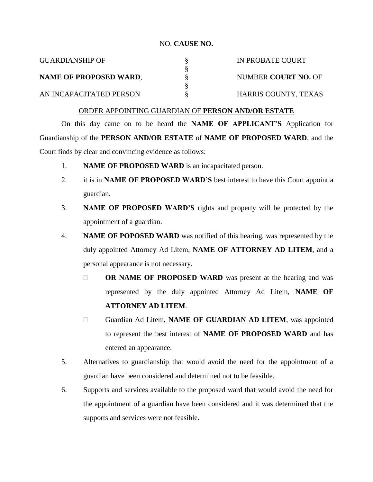## NO. **CAUSE NO.**

| <b>GUARDIANSHIP OF</b>  | IN PROBATE COURT     |
|-------------------------|----------------------|
|                         |                      |
| NAME OF PROPOSED WARD,  | NUMBER COURT NO. OF  |
|                         |                      |
| AN INCAPACITATED PERSON | HARRIS COUNTY, TEXAS |

## ORDER APPOINTING GUARDIAN OF **PERSON AND/OR ESTATE**

On this day came on to be heard the **NAME OF APPLICANT'S** Application for Guardianship of the **PERSON AND/OR ESTATE** of **NAME OF PROPOSED WARD**, and the Court finds by clear and convincing evidence as follows:

- 1. **NAME OF PROPOSED WARD** is an incapacitated person.
- 2. it is in **NAME OF PROPOSED WARD'S** best interest to have this Court appoint a guardian.
- 3. **NAME OF PROPOSED WARD'S** rights and property will be protected by the appointment of a guardian.
- 4. **NAME OF POPOSED WARD** was notified of this hearing, was represented by the duly appointed Attorney Ad Litem, **NAME OF ATTORNEY AD LITEM**, and a personal appearance is not necessary.
	- **OR NAME OF PROPOSED WARD** was present at the hearing and was represented by the duly appointed Attorney Ad Litem, **NAME OF ATTORNEY AD LITEM**.
	- Guardian Ad Litem, **NAME OF GUARDIAN AD LITEM**, was appointed to represent the best interest of **NAME OF PROPOSED WARD** and has entered an appearance.
- 5. Alternatives to guardianship that would avoid the need for the appointment of a guardian have been considered and determined not to be feasible.
- 6. Supports and services available to the proposed ward that would avoid the need for the appointment of a guardian have been considered and it was determined that the supports and services were not feasible.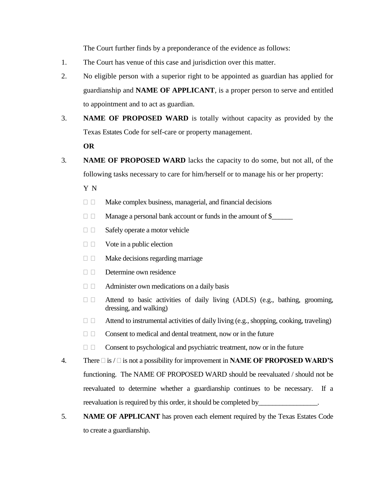The Court further finds by a preponderance of the evidence as follows:

- 1. The Court has venue of this case and jurisdiction over this matter.
- 2. No eligible person with a superior right to be appointed as guardian has applied for guardianship and **NAME OF APPLICANT**, is a proper person to serve and entitled to appointment and to act as guardian.
- 3. **NAME OF PROPOSED WARD** is totally without capacity as provided by the Texas Estates Code for self-care or property management.

**OR**

3. **NAME OF PROPOSED WARD** lacks the capacity to do some, but not all, of the following tasks necessary to care for him/herself or to manage his or her property:

Y N

- $\Box$  Make complex business, managerial, and financial decisions
- Manage a personal bank account or funds in the amount of \$\_\_\_\_\_\_
- $\Box$  Safely operate a motor vehicle
- $\Box$  Vote in a public election
- $\Box$  Make decisions regarding marriage
- $\Box$  Determine own residence
- $\Box$  Administer own medications on a daily basis
- $\square$   $\square$  Attend to basic activities of daily living (ADLS) (e.g., bathing, grooming, dressing, and walking)
- $\Box$  Attend to instrumental activities of daily living (e.g., shopping, cooking, traveling)
- $\Box$   $\Box$  Consent to medical and dental treatment, now or in the future
- $\Box$   $\Box$  Consent to psychological and psychiatric treatment, now or in the future
- 4. There  $\Box$  is  $/\Box$  is not a possibility for improvement in **NAME OF PROPOSED WARD'S** functioning. The NAME OF PROPOSED WARD should be reevaluated / should not be reevaluated to determine whether a guardianship continues to be necessary. If a reevaluation is required by this order, it should be completed by
- 5. **NAME OF APPLICANT** has proven each element required by the Texas Estates Code to create a guardianship.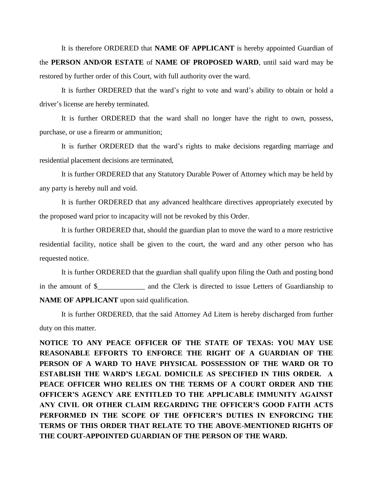It is therefore ORDERED that **NAME OF APPLICANT** is hereby appointed Guardian of the **PERSON AND/OR ESTATE** of **NAME OF PROPOSED WARD**, until said ward may be restored by further order of this Court, with full authority over the ward.

It is further ORDERED that the ward's right to vote and ward's ability to obtain or hold a driver's license are hereby terminated.

It is further ORDERED that the ward shall no longer have the right to own, possess, purchase, or use a firearm or ammunition;

It is further ORDERED that the ward's rights to make decisions regarding marriage and residential placement decisions are terminated,

It is further ORDERED that any Statutory Durable Power of Attorney which may be held by any party is hereby null and void.

It is further ORDERED that any advanced healthcare directives appropriately executed by the proposed ward prior to incapacity will not be revoked by this Order.

It is further ORDERED that, should the guardian plan to move the ward to a more restrictive residential facility, notice shall be given to the court, the ward and any other person who has requested notice.

It is further ORDERED that the guardian shall qualify upon filing the Oath and posting bond in the amount of \$\_\_\_\_\_\_\_\_\_\_\_\_\_ and the Clerk is directed to issue Letters of Guardianship to **NAME OF APPLICANT** upon said qualification.

It is further ORDERED, that the said Attorney Ad Litem is hereby discharged from further duty on this matter.

**NOTICE TO ANY PEACE OFFICER OF THE STATE OF TEXAS: YOU MAY USE REASONABLE EFFORTS TO ENFORCE THE RIGHT OF A GUARDIAN OF THE PERSON OF A WARD TO HAVE PHYSICAL POSSESSION OF THE WARD OR TO ESTABLISH THE WARD'S LEGAL DOMICILE AS SPECIFIED IN THIS ORDER. A PEACE OFFICER WHO RELIES ON THE TERMS OF A COURT ORDER AND THE OFFICER'S AGENCY ARE ENTITLED TO THE APPLICABLE IMMUNITY AGAINST ANY CIVIL OR OTHER CLAIM REGARDING THE OFFICER'S GOOD FAITH ACTS PERFORMED IN THE SCOPE OF THE OFFICER'S DUTIES IN ENFORCING THE TERMS OF THIS ORDER THAT RELATE TO THE ABOVE-MENTIONED RIGHTS OF THE COURT-APPOINTED GUARDIAN OF THE PERSON OF THE WARD.**